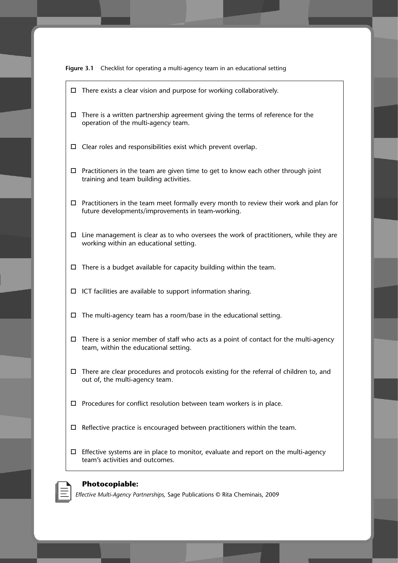

- □ There exists a clear vision and purpose for working collaboratively.
- $\Box$  There is a written partnership agreement giving the terms of reference for the operation of the multi-agency team.
- □ Clear roles and responsibilities exist which prevent overlap.
- $\Box$  Practitioners in the team are given time to get to know each other through joint training and team building activities.
- $\Box$  Practitioners in the team meet formally every month to review their work and plan for future developments/improvements in team-working.
- $\Box$  Line management is clear as to who oversees the work of practitioners, while they are working within an educational setting.
- $\Box$  There is a budget available for capacity building within the team.
- □ ICT facilities are available to support information sharing.
- $\Box$  The multi-agency team has a room/base in the educational setting.
- $\Box$  There is a senior member of staff who acts as a point of contact for the multi-agency team, within the educational setting.
- □ There are clear procedures and protocols existing for the referral of children to, and out of, the multi-agency team.
- □ Procedures for conflict resolution between team workers is in place.
- □ Reflective practice is encouraged between practitioners within the team.
- $\Box$  Effective systems are in place to monitor, evaluate and report on the multi-agency team's activities and outcomes.



#### **Photocopiable:**

*Effective Multi-Agency Partnerships,* Sage Publications © Rita Cheminais, 2009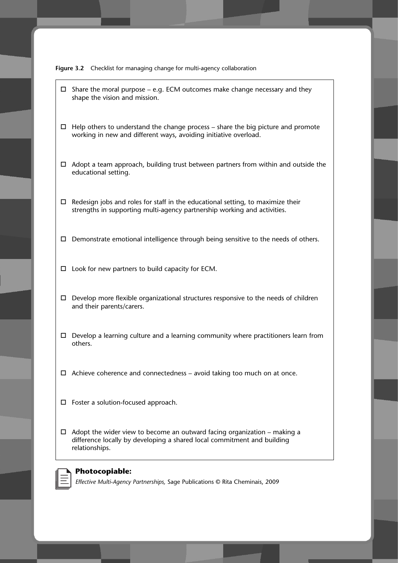

- □ Share the moral purpose e.g. ECM outcomes make change necessary and they shape the vision and mission.
- $\Box$  Help others to understand the change process share the big picture and promote working in new and different ways, avoiding initiative overload.
- □ Adopt a team approach, building trust between partners from within and outside the educational setting.
- $\Box$  Redesign jobs and roles for staff in the educational setting, to maximize their strengths in supporting multi-agency partnership working and activities.
- □ Demonstrate emotional intelligence through being sensitive to the needs of others.
- □ Look for new partners to build capacity for ECM.
- □ Develop more flexible organizational structures responsive to the needs of children and their parents/carers.
- □ Develop a learning culture and a learning community where practitioners learn from others.
- □ Achieve coherence and connectedness avoid taking too much on at once.
- □ Foster a solution-focused approach.
- $\Box$  Adopt the wider view to become an outward facing organization making a difference locally by developing a shared local commitment and building relationships.

#### **Photocopiable:**

*Effective Multi-Agency Partnerships,* Sage Publications © Rita Cheminais, 2009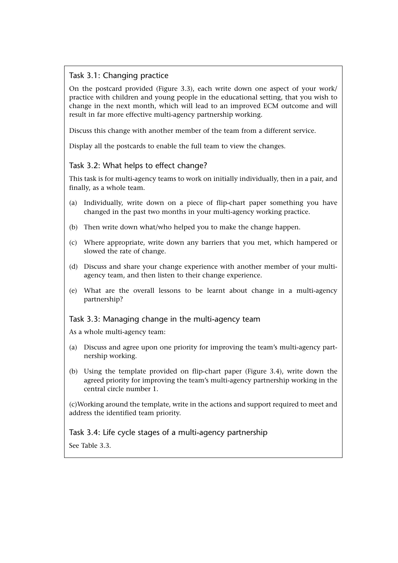# Task 3.1: Changing practice

On the postcard provided (Figure 3.3), each write down one aspect of your work/ practice with children and young people in the educational setting, that you wish to change in the next month, which will lead to an improved ECM outcome and will result in far more effective multi-agency partnership working.

Discuss this change with another member of the team from a different service.

Display all the postcards to enable the full team to view the changes.

## Task 3.2: What helps to effect change?

This task is for multi-agency teams to work on initially individually, then in a pair, and finally, as a whole team.

- (a) Individually, write down on a piece of flip-chart paper something you have changed in the past two months in your multi-agency working practice.
- (b) Then write down what/who helped you to make the change happen.
- (c) Where appropriate, write down any barriers that you met, which hampered or slowed the rate of change.
- (d) Discuss and share your change experience with another member of your multiagency team, and then listen to their change experience.
- (e) What are the overall lessons to be learnt about change in a multi-agency partnership?

#### Task 3.3: Managing change in the multi-agency team

As a whole multi-agency team:

- (a) Discuss and agree upon one priority for improving the team's multi-agency partnership working.
- (b) Using the template provided on flip-chart paper (Figure 3.4), write down the agreed priority for improving the team's multi-agency partnership working in the central circle number 1.

(c)Working around the template, write in the actions and support required to meet and address the identified team priority.

## Task 3.4: Life cycle stages of a multi-agency partnership

See Table 3.3.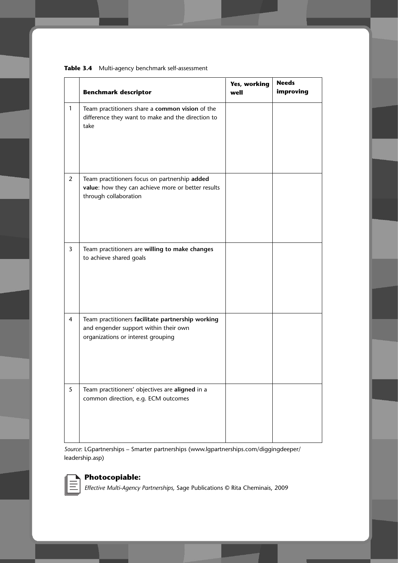|                | <b>Benchmark descriptor</b>                                                                                                      | Yes, working<br>well | <b>Needs</b><br>improving |
|----------------|----------------------------------------------------------------------------------------------------------------------------------|----------------------|---------------------------|
| $\mathbf{1}$   | Team practitioners share a common vision of the<br>difference they want to make and the direction to<br>take                     |                      |                           |
| $\overline{2}$ | Team practitioners focus on partnership added<br>value: how they can achieve more or better results<br>through collaboration     |                      |                           |
| $\overline{3}$ | Team practitioners are willing to make changes<br>to achieve shared goals                                                        |                      |                           |
| $\overline{4}$ | Team practitioners facilitate partnership working<br>and engender support within their own<br>organizations or interest grouping |                      |                           |
| $\mathfrak{S}$ | Team practitioners' objectives are aligned in a<br>common direction, e.g. ECM outcomes                                           |                      |                           |

**Table 3.4** Multi-agency benchmark self-assessment

*Source*: LGpartnerships – Smarter partnerships (www.lgpartnerships.com/diggingdeeper/ leadership.asp)



## **Photocopiable:**

*Effective Multi-Agency Partnerships,* Sage Publications © Rita Cheminais, 2009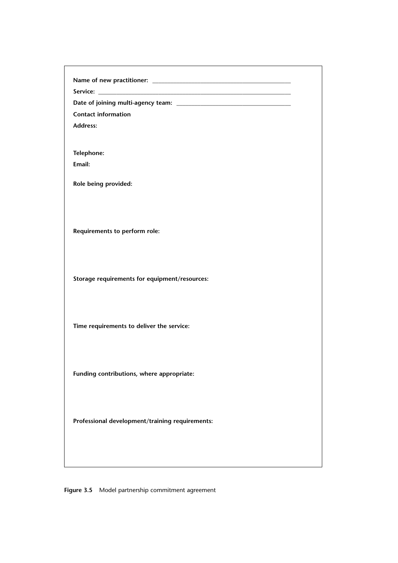| <b>Contact information</b>                      |  |
|-------------------------------------------------|--|
| <b>Address:</b>                                 |  |
| Telephone:                                      |  |
| Email:                                          |  |
| Role being provided:                            |  |
| Requirements to perform role:                   |  |
| Storage requirements for equipment/resources:   |  |
| Time requirements to deliver the service:       |  |
| Funding contributions, where appropriate:       |  |
| Professional development/training requirements: |  |
|                                                 |  |
|                                                 |  |

**Figure 3.5** Model partnership commitment agreement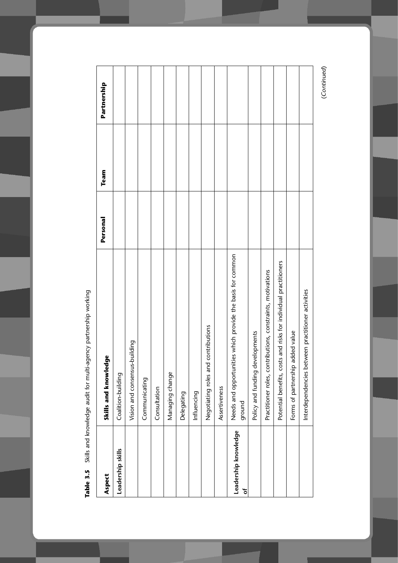| Aspect                    | Skills and knowledge                                                 | Personal | Team | Partnership |
|---------------------------|----------------------------------------------------------------------|----------|------|-------------|
| Leadership skills         | Coalition-building                                                   |          |      |             |
|                           | Vision and consensus-building                                        |          |      |             |
|                           | Communicating                                                        |          |      |             |
|                           | Consultation                                                         |          |      |             |
|                           | Managing change                                                      |          |      |             |
|                           | Delegating                                                           |          |      |             |
|                           | Influencing                                                          |          |      |             |
|                           | Negotiating roles and contributions                                  |          |      |             |
|                           | Assertiveness                                                        |          |      |             |
| Leadership knowledge<br>ð | Needs and opportunities which provide the basis for common<br>ground |          |      |             |
|                           | levelopments<br>Policy and funding d                                 |          |      |             |
|                           | Practitioner roles, contributions, constraints, motivations          |          |      |             |
|                           | Potential benefits, costs and risks for individual practitioners     |          |      |             |
|                           | added value<br>Forms of partnership                                  |          |      |             |
|                           | Interdependencies between practitioner activities                    |          |      |             |
|                           |                                                                      |          |      |             |

Table 3.5 Skills and knowledge audit for multi-agency partnership working **Table 3.5** Skills and knowledge audit for multi-agency partnership working

(Continued) (Continued)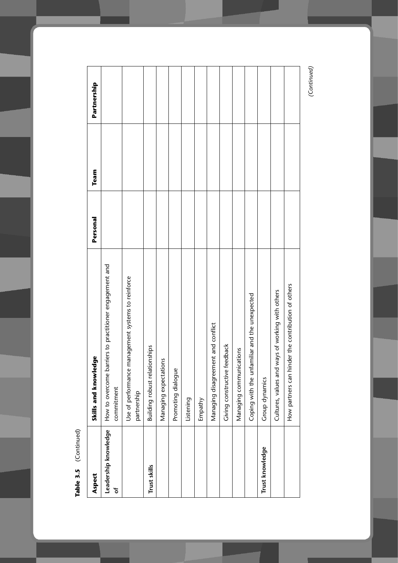| Aspect                    | Skills and knowledge                                                  | Personal | Team | Partnership |
|---------------------------|-----------------------------------------------------------------------|----------|------|-------------|
| Leadership knowledge<br>ð | How to overcome barriers to practitioner engagement and<br>commitment |          |      |             |
|                           | management systems to reinforce<br>Use of performance<br>partnership  |          |      |             |
| Trust skills              | Building robust relationships                                         |          |      |             |
|                           | Managing expectations                                                 |          |      |             |
|                           | Promoting dialogue                                                    |          |      |             |
|                           | Listening                                                             |          |      |             |
|                           | Empathy                                                               |          |      |             |
|                           | Managing disagreement and conflict                                    |          |      |             |
|                           | <b>eedback</b><br>Giving constructive                                 |          |      |             |
|                           | Managing communications                                               |          |      |             |
|                           | Coping with the unfamiliar and the unexpected                         |          |      |             |
| Trust knowledge           | Group dynamics                                                        |          |      |             |
|                           | ways of working with others<br>Cultures, values and                   |          |      |             |
|                           | How partners can hinder the contribution of others                    |          |      |             |
|                           |                                                                       |          |      |             |

Table 3.5 (Continued) **Table 3.5** (Continued)

(Continued) *(Continued)*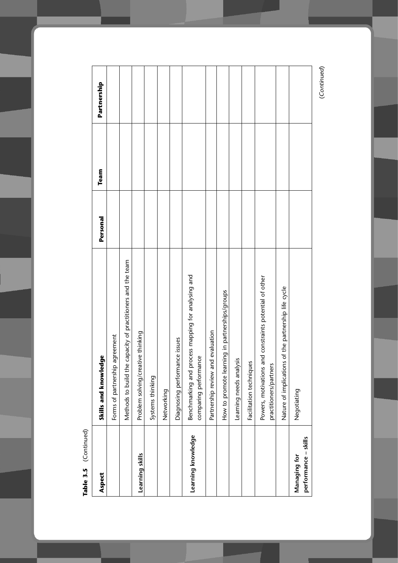| Aspect                               | Skills and knowledge                                                             | Personal | Team | Partnership |
|--------------------------------------|----------------------------------------------------------------------------------|----------|------|-------------|
|                                      | Forms of partnership agreement                                                   |          |      |             |
|                                      | Methods to build the capacity of practitioners and the team                      |          |      |             |
| Learning skills                      | Problem solving/creative thinking                                                |          |      |             |
|                                      | Systems thinking                                                                 |          |      |             |
|                                      | Networking                                                                       |          |      |             |
|                                      | Diagnosing performance issues                                                    |          |      |             |
| Learning knowledge                   | Benchmarking and process mapping for analysing and<br>comparing performance      |          |      |             |
|                                      | Partnership review and evaluation                                                |          |      |             |
|                                      | How to promote learning in partnerships/groups                                   |          |      |             |
|                                      | Learning needs analysis                                                          |          |      |             |
|                                      | Facilitation techniques                                                          |          |      |             |
|                                      | Powers, motivations and constraints potential of other<br>practitioners/partners |          |      |             |
|                                      | Nature of implications of the partnership life cycle                             |          |      |             |
| performance - skills<br>Managing for | Negotiating                                                                      |          |      |             |
|                                      |                                                                                  |          |      |             |

Table 3.5 (Continued) **Table 3.5** (Continued)

(Continued) (Continued)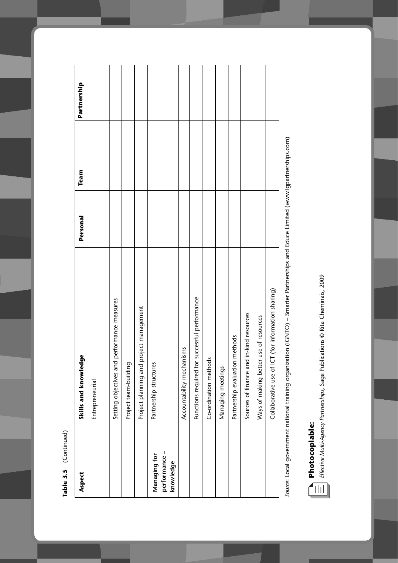| L |
|---|
|   |
|   |
| t |
|   |
|   |
|   |
|   |
|   |
|   |
|   |

| Aspect                     | Skills and knowledge                               | Personal | Team | Partnership |
|----------------------------|----------------------------------------------------|----------|------|-------------|
|                            | Entrepreneurial                                    |          |      |             |
|                            | Setting objectives and performance measures        |          |      |             |
|                            | Project team-building                              |          |      |             |
|                            | Project planning and project management            |          |      |             |
| Managing for               | Partnership structures                             |          |      |             |
| performance -<br>knowledge |                                                    |          |      |             |
|                            | Accountability mechanisms                          |          |      |             |
|                            | Functions required for successful performance      |          |      |             |
|                            | Co-ordination methods                              |          |      |             |
|                            | Managing meetings                                  |          |      |             |
|                            | Partnership evaluation methods                     |          |      |             |
|                            | Sources of finance and in-kind resources           |          |      |             |
|                            | Ways of making better use of resources             |          |      |             |
|                            | Collaborative use of ICT (for information sharing) |          |      |             |
|                            |                                                    |          |      |             |

Source: Local government national training organization (IGNTO) – Smarter Partnerships and Educe Limited (www.lgpartnerships.com) *Source*: Local government national training organization (IGNTO) – Smarter Partnerships and Educe Limited (www.lgpartnerships.com)



Effective Multi-Agency Partnerships, Sage Publications @ Rita Cheminais, 2009 *Effective Multi-Agency Partnerships,* Sage Publications © Rita Cheminais, 2009